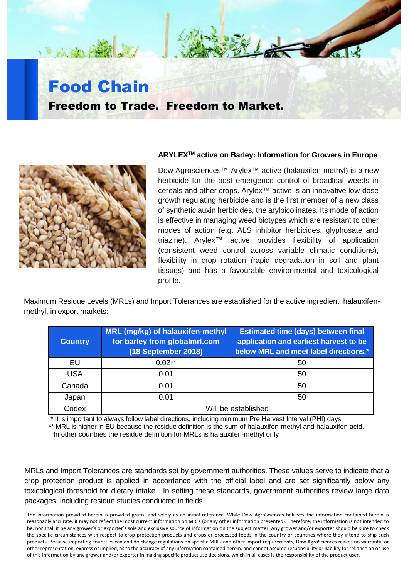

## **ARYLEXTM active on Barley: Information for Growers in Europe**

Dow Agrosciences™ Arylex™ active (halauxifen-methyl) is a new herbicide for the post emergence control of broadleaf weeds in cereals and other crops. Arylex™ active is an innovative low-dose growth regulating herbicide and is the first member of a new class of synthetic auxin herbicides, the arylpicolinates. Its mode of action is effective in managing weed biotypes which are resistant to other modes of action (e.g. ALS inhibitor herbicides, glyphosate and triazine). Arylex™ active provides flexibility of application (consistent weed control across variable climatic conditions), flexibility in crop rotation (rapid degradation in soil and plant tissues) and has a favourable environmental and toxicological profile.

Maximum Residue Levels (MRLs) and Import Tolerances are established for the active ingredient, halauxifenmethyl, in export markets:

| <b>Country</b> | MRL (mg/kg) of halauxifen-methyl<br>for barley from globalmrl.com<br>(18 September 2018) | <b>Estimated time (days) between final</b><br>application and earliest harvest to be<br>below MRL and meet label directions.* |
|----------------|------------------------------------------------------------------------------------------|-------------------------------------------------------------------------------------------------------------------------------|
| EU             | $0.02**$                                                                                 | 50                                                                                                                            |
| <b>USA</b>     | 0.01                                                                                     | 50                                                                                                                            |
| Canada         | 0.01                                                                                     | 50                                                                                                                            |
| Japan          | 0.01                                                                                     | 50                                                                                                                            |
| Codex          | Will be established                                                                      |                                                                                                                               |

\* It is important to always follow label directions, including minimum Pre Harvest Interval (PHI) days

\*\* MRL is higher in EU because the residue definition is the sum of halauxifen-methyl and halauxifen acid.

In other countries the residue definition for MRLs is halauxifen-methyl only

MRLs and Import Tolerances are standards set by government authorities. These values serve to indicate that a crop protection product is applied in accordance with the official label and are set significantly below any toxicological threshold for dietary intake. In setting these standards, government authorities review large data packages, including residue studies conducted in fields.

The information provided herein is provided gratis, and solely as an initial reference. While Dow AgroSciences believes the information contained herein is reasonably accurate, it may not reflect the most current information on MRLs (or any other information presented). Therefore, the information is not intended to be, nor shall it be any grower's or exporter's sole and exclusive source of information on the subject matter. Any grower and/or exporter should be sure to check the specific circumstances with respect to crop protection products and crops or processed foods in the country or countries where they intend to ship such products. Because importing countries can and do change regulations on specific MRLs and other import requirements, Dow AgroSciences makes no warranty, or other representation, express or implied, as to the accuracy of any information contained herein, and cannot assume responsibility or liability for reliance on or use of this information by any grower and/or exporter in making specific product use decisions, which in all cases is the responsibility of the product user.